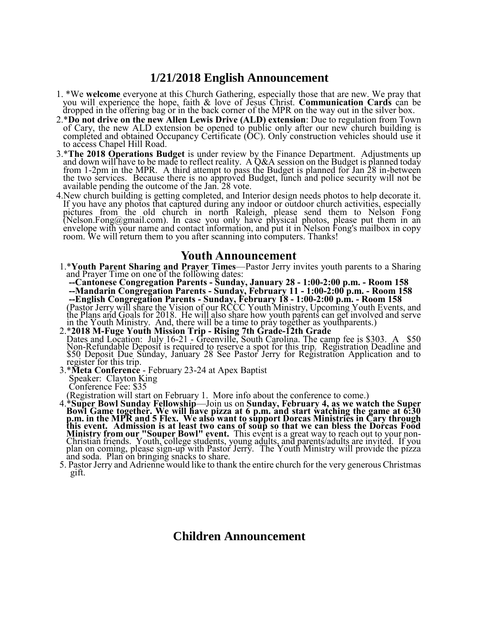## **1/21/2018 English Announcement**

- 1. \*We **welcome** everyone at this Church Gathering, especially those that are new. We pray that you will experience the hope, faith & love of Jesus Christ. **Communication Cards** can be dropped in the offering bag or in the back corner of the MPR on the way out in the silver box.
- 2.\***Do not drive on the new Allen Lewis Drive (ALD) extension**: Due to regulation from Town of Cary, the new ALD extension be opened to public only after our new church building is completed and obtained Occupancy Certificate (OC). Only construction vehicles should use it to access Chapel Hill Road.
- 3.\***The 2018 Operations Budget** is under review by the Finance Department. Adjustments up and down will have to be made to reflect reality. A Q&A session on the Budget is planned today from 1-2pm in the MPR. A third attempt to pass the Budget is planned for Jan 28 in-between the two services. Because there is no approved Budget, lunch and police security will not be available pending the outcome of the Jan. 28 vote.
- 4.New church building is getting completed, and Interior design needs photos to help decorate it. If you have any photos that captured during any indoor or outdoor church activities, especially pictures from the old church in north Raleigh, please send them to Nelson Fong (Nelson.Fong@gmail.com). In case you only have physical photos, please put them in an envelope with your name and contact information, and put it in Nelson Fong's mailbox in copy room. We will return them to you after scanning into computers. Thanks!

## **Youth Announcement**

1.\***Youth Parent Sharing and Prayer Times**—Pastor Jerry invites youth parents to a Sharing and Prayer Time on one of the following dates:

 **--Cantonese Congregation Parents - Sunday, January 28 - 1:00-2:00 p.m. - Room 158 --Mandarin Congregation Parents - Sunday, February 11 - 1:00-2:00 p.m. - Room 158 --English Congregation Parents - Sunday, February 18 - 1:00-2:00 p.m. - Room 158** (Pastor Jerry will share the Vision of our RCCC Youth Ministry, Upcoming Youth Events, and the Plans and Goals for 2018. He will also share how youth parents can get involved and serve in the Youth Ministry. And, there will be a time to pray together as youthparents.)

- 2.\***2018 M-Fuge Youth Mission Trip - Rising 7th Grade-12th Grade** Dates and Location: July 16-21 - Greenville, South Carolina. The camp fee is \$303. A \$50 Non-Refundable Deposit is required to reserve a spot for this trip. Registration Deadline and \$50 Deposit Due Sunday, January 28 See Pastor Jerry for Registration Application and to register for this trip.
- 3.\***Meta Conference**  February 23-24 at Apex Baptist Speaker: Clayton King Conference Fee: \$35

(Registration will start on February 1. More info about the conference to come.)

- 4.\***Super Bowl Sunday Fellowship**—Join us on **Sunday, February 4, as we watch the Super Bowl Game together. We will have pizza at 6 p.m. and start watching the game at 6:30 p.m. in the MPR and 5 Flex. We also want to support Dorcas Ministries in Cary through this event. Admission is at least two cans of soup so that we can bless the Dorcas Food Ministry from our "Souper Bowl" event.** This event is a great way to reach out to your non-Christian friends. Youth, college students, young adults, and parents/adults are invited. If you plan on coming, please sign-up with Pastor Jerry. The Youth Ministry will provide the pizza and soda. Plan on bringing snacks to share.
- 5. Pastor Jerry and Adrienne would like to thank the entire church for the very generous Christmas gift.

## **Children Announcement**